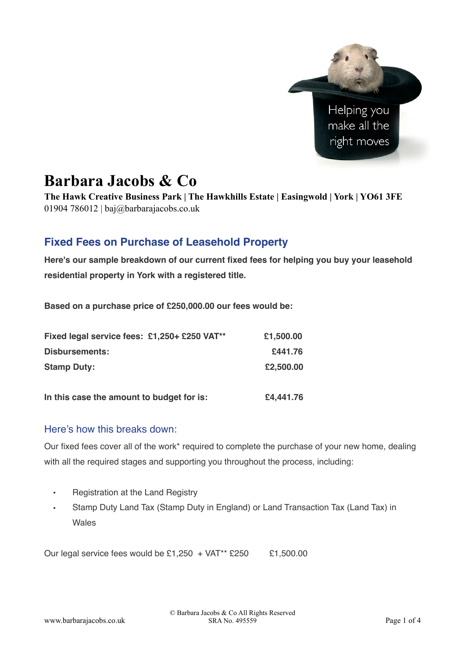

# **Barbara Jacobs & Co**

**The Hawk Creative Business Park | The Hawkhills Estate | Easingwold | York | YO61 3FE**  01904 786012 | baj $\omega$ barbarajacobs.co.uk

## **Fixed Fees on Purchase of Leasehold Property**

**Here's our sample breakdown of our current fixed fees for helping you buy your leasehold residential property in York with a registered title.**

**Based on a purchase price of £250,000.00 our fees would be:**

| Fixed legal service fees: £1,250+ £250 VAT** | £1,500.00 |
|----------------------------------------------|-----------|
| Disbursements:                               | £441.76   |
| <b>Stamp Duty:</b>                           | £2,500.00 |
| In this case the amount to budget for is:    | £4,441.76 |

## Here's how this breaks down:

Our fixed fees cover all of the work\* required to complete the purchase of your new home, dealing with all the required stages and supporting you throughout the process, including:

- Registration at the Land Registry
- Stamp Duty Land Tax (Stamp Duty in England) or Land Transaction Tax (Land Tax) in Wales

Our legal service fees would be  $£1.250 + VAT^{**}$  £250  $£1.500.00$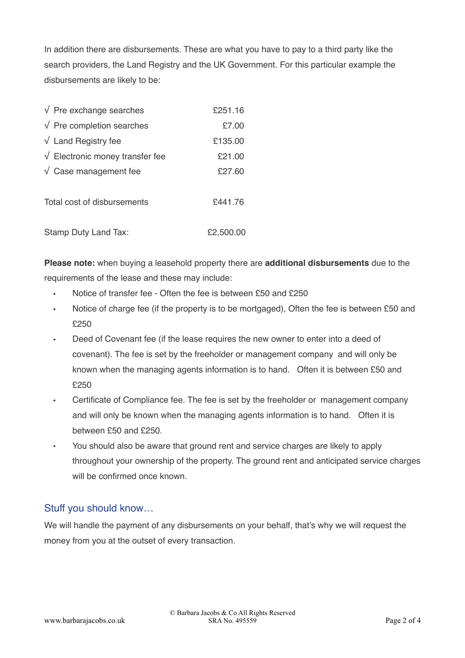In addition there are disbursements. These are what you have to pay to a third party like the search providers, the Land Registry and the UK Government. For this particular example the disbursements are likely to be:

| $\sqrt{\ }$ Pre exchange searches                  | £251.16   |
|----------------------------------------------------|-----------|
| $\sqrt{P}$ Pre completion searches                 | £7.00     |
| $\sqrt{\phantom{a}}$ Land Registry fee             | £135.00   |
| $\sqrt{\phantom{a}}$ Electronic money transfer fee | £21.00    |
| $\sqrt{\phantom{a}}$ Case management fee           | £27.60    |
| Total cost of disbursements                        | £441.76   |
| Stamp Duty Land Tax:                               | £2,500.00 |

**Please note:** when buying a leasehold property there are **additional disbursements** due to the requirements of the lease and these may include:

- Notice of transfer fee Often the fee is between £50 and £250
- Notice of charge fee (if the property is to be mortgaged), Often the fee is between £50 and £250
- Deed of Covenant fee (if the lease requires the new owner to enter into a deed of covenant). The fee is set by the freeholder or management company and will only be known when the managing agents information is to hand. Often it is between £50 and £250
- Certificate of Compliance fee. The fee is set by the freeholder or management company and will only be known when the managing agents information is to hand. Often it is between £50 and £250.
- You should also be aware that ground rent and service charges are likely to apply throughout your ownership of the property. The ground rent and anticipated service charges will be confirmed once known.

## Stuff you should know…

We will handle the payment of any disbursements on your behalf, that's why we will request the money from you at the outset of every transaction.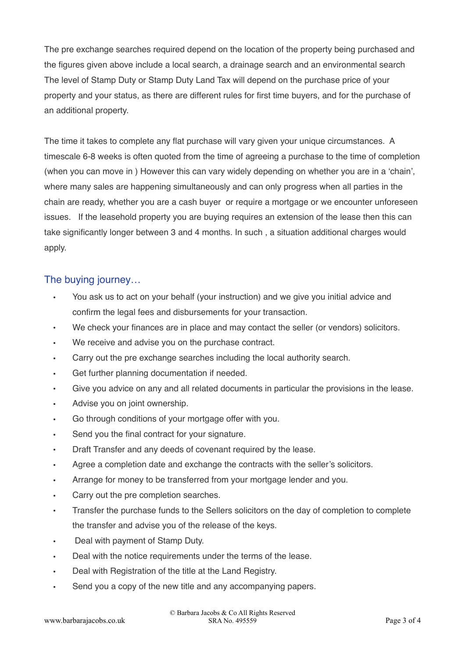The pre exchange searches required depend on the location of the property being purchased and the figures given above include a local search, a drainage search and an environmental search The level of Stamp Duty or Stamp Duty Land Tax will depend on the purchase price of your property and your status, as there are different rules for first time buyers, and for the purchase of an additional property.

The time it takes to complete any flat purchase will vary given your unique circumstances. A timescale 6-8 weeks is often quoted from the time of agreeing a purchase to the time of completion (when you can move in ) However this can vary widely depending on whether you are in a 'chain', where many sales are happening simultaneously and can only progress when all parties in the chain are ready, whether you are a cash buyer or require a mortgage or we encounter unforeseen issues. If the leasehold property you are buying requires an extension of the lease then this can take significantly longer between 3 and 4 months. In such , a situation additional charges would apply.

## The buying journey…

- You ask us to act on your behalf (your instruction) and we give you initial advice and confirm the legal fees and disbursements for your transaction.
- We check your finances are in place and may contact the seller (or vendors) solicitors.
- We receive and advise you on the purchase contract.
- Carry out the pre exchange searches including the local authority search.
- Get further planning documentation if needed.
- Give you advice on any and all related documents in particular the provisions in the lease.
- Advise you on joint ownership.
- Go through conditions of your mortgage offer with you.
- Send you the final contract for your signature.
- Draft Transfer and any deeds of covenant required by the lease.
- Agree a completion date and exchange the contracts with the seller's solicitors.
- Arrange for money to be transferred from your mortgage lender and you.
- Carry out the pre completion searches.
- Transfer the purchase funds to the Sellers solicitors on the day of completion to complete the transfer and advise you of the release of the keys.
- Deal with payment of Stamp Duty.
- Deal with the notice requirements under the terms of the lease.
- Deal with Registration of the title at the Land Registry.
- Send you a copy of the new title and any accompanying papers.